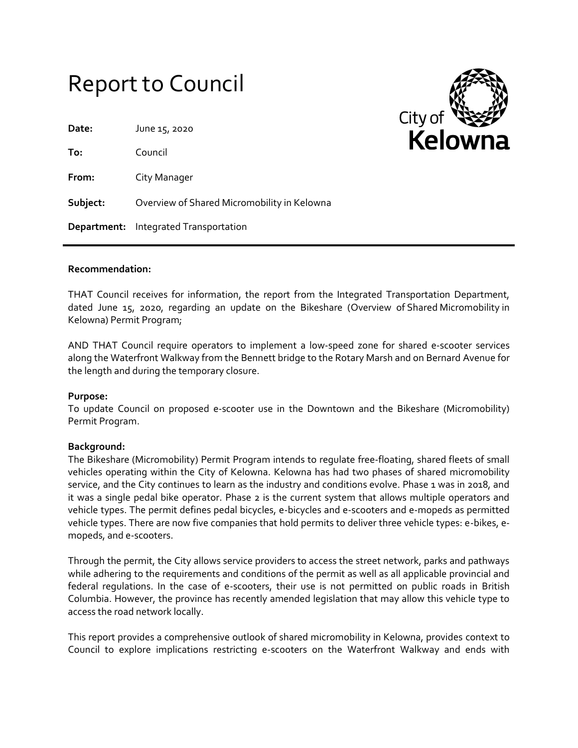# Report to Council

**Date:** June 15, 2020

**To:** Council

**From:** City Manager

**Subject:** Overview of Shared Micromobility in Kelowna

**Department:** Integrated Transportation



#### **Recommendation:**

THAT Council receives for information, the report from the Integrated Transportation Department, dated June 15, 2020, regarding an update on the Bikeshare (Overview of Shared Micromobility in Kelowna) Permit Program;

AND THAT Council require operators to implement a low-speed zone for shared e-scooter services along the Waterfront Walkway from the Bennett bridge to the Rotary Marsh and on Bernard Avenue for the length and during the temporary closure.

## **Purpose:**

To update Council on proposed e-scooter use in the Downtown and the Bikeshare (Micromobility) Permit Program.

# **Background:**

The Bikeshare (Micromobility) Permit Program intends to regulate free‐floating, shared fleets of small vehicles operating within the City of Kelowna. Kelowna has had two phases of shared micromobility service, and the City continues to learn as the industry and conditions evolve. Phase 1 was in 2018, and it was a single pedal bike operator. Phase 2 is the current system that allows multiple operators and vehicle types. The permit defines pedal bicycles, e-bicycles and e-scooters and e-mopeds as permitted vehicle types. There are now five companies that hold permits to deliver three vehicle types: e-bikes, emopeds, and e-scooters.

Through the permit, the City allows service providers to access the street network, parks and pathways while adhering to the requirements and conditions of the permit as well as all applicable provincial and federal regulations. In the case of e-scooters, their use is not permitted on public roads in British Columbia. However, the province has recently amended legislation that may allow this vehicle type to access the road network locally.

This report provides a comprehensive outlook of shared micromobility in Kelowna, provides context to Council to explore implications restricting e-scooters on the Waterfront Walkway and ends with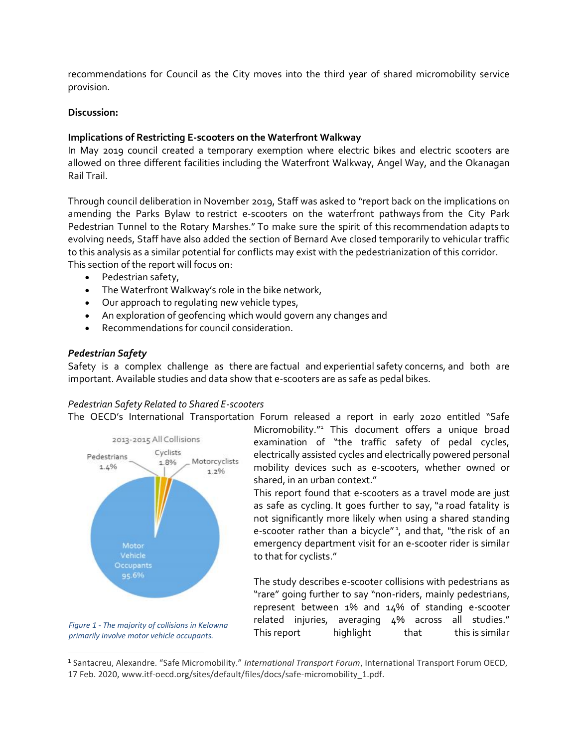recommendations for Council as the City moves into the third year of shared micromobility service provision.

## **Discussion:**

## **Implications of Restricting E-scooters on the Waterfront Walkway**

In May 2019 council created a temporary exemption where electric bikes and electric scooters are allowed on three different facilities including the Waterfront Walkway, Angel Way, and the Okanagan Rail Trail.

Through council deliberation in November 2019, Staff was asked to "report back on the implications on amending the Parks Bylaw to restrict e-scooters on the waterfront pathways from the City Park Pedestrian Tunnel to the Rotary Marshes." To make sure the spirit of this recommendation adapts to evolving needs, Staff have also added the section of Bernard Ave closed temporarily to vehicular traffic to this analysis as a similar potential for conflicts may exist with the pedestrianization of this corridor. This section of the report will focus on:

- Pedestrian safety,
- The Waterfront Walkway's role in the bike network,
- Our approach to regulating new vehicle types,
- An exploration of geofencing which would govern any changes and
- Recommendations for council consideration.

## *Pedestrian Safety*

Safety is a complex challenge as there are factual and experiential safety concerns, and both are important. Available studies and data show that e-scooters are as safe as pedal bikes.

## *Pedestrian Safety Related to Shared E-scooters*

The OECD's International Transportation Forum released a report in early 2020 entitled "Safe





l

Micromobility." <sup>1</sup> This document offers a unique broad examination of "the traffic safety of pedal cycles, electrically assisted cycles and electrically powered personal mobility devices such as e-scooters, whether owned or shared, in an urban context."

This report found that e-scooters as a travel mode are just as safe as cycling. It goes further to say, "a road fatality is not significantly more likely when using a shared standing e-scooter rather than a bicycle"<sup>1</sup>, and that, "the risk of an emergency department visit for an e-scooter rider is similar to that for cyclists."

The study describes e-scooter collisions with pedestrians as "rare" going further to say "non-riders, mainly pedestrians, represent between 1% and 14% of standing e-scooter related injuries, averaging 4% across all studies." This report highlight that this is similar

<sup>1</sup> Santacreu, Alexandre. "Safe Micromobility." *International Transport Forum*, International Transport Forum OECD, 17 Feb. 2020, www.itf-oecd.org/sites/default/files/docs/safe-micromobility\_1.pdf.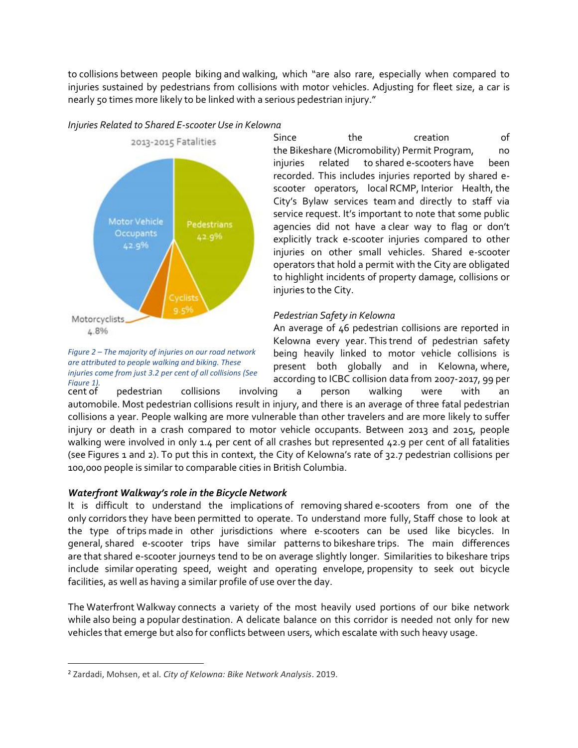to collisions between people biking and walking, which "are also rare, especially when compared to injuries sustained by pedestrians from collisions with motor vehicles. Adjusting for fleet size, a car is nearly 50 times more likely to be linked with a serious pedestrian injury."



*are attributed to people walking and biking. These* 

*Injuries Related to Shared E-scooter Use in Kelowna*

Since the creation of the Bikeshare (Micromobility) Permit Program, no injuries related to shared e-scooters have been recorded. This includes injuries reported by shared escooter operators, local RCMP, Interior Health, the City's Bylaw services team and directly to staff via service request. It's important to note that some public agencies did not have a clear way to flag or don't explicitly track e-scooter injuries compared to other injuries on other small vehicles. Shared e-scooter operators that hold a permit with the City are obligated to highlight incidents of property damage, collisions or injuries to the City.

## *Pedestrian Safety in Kelowna <sup>2</sup>*

An average of 46 pedestrian collisions are reported in Kelowna every year. This trend of pedestrian safety being heavily linked to motor vehicle collisions is present both globally and in Kelowna, where, according to ICBC collision data from 2007-2017, 99 per *Figure 2 – The majority of injuries on our road network injuries come from just 3.2 per cent of all collisions (See* 

cent of pedestrian collisions involving a person walking were with an automobile. Most pedestrian collisions result in injury, and there is an average of three fatal pedestrian collisions a year. People walking are more vulnerable than other travelers and are more likely to suffer injury or death in a crash compared to motor vehicle occupants. Between 2013 and 2015, people walking were involved in only 1.4 per cent of all crashes but represented 42.9 per cent of all fatalities (see Figures 1 and 2). To put this in context, the City of Kelowna's rate of 32.7 pedestrian collisions per 100,000 people is similar to comparable cities in British Columbia. Figure 1).<br>**Cent of** 

## *Waterfront Walkway's role in the Bicycle Network*

It is difficult to understand the implications of removing shared e-scooters from one of the only corridors they have been permitted to operate. To understand more fully, Staff chose to look at the type of trips made in other jurisdictions where e-scooters can be used like bicycles. In general, shared e-scooter trips have similar patterns to bikeshare trips. The main differences are that shared e-scooter journeys tend to be on average slightly longer. Similarities to bikeshare trips include similar operating speed, weight and operating envelope, propensity to seek out bicycle facilities, as well as having a similar profile of use over the day.

The Waterfront Walkway connects a variety of the most heavily used portions of our bike network while also being a popular destination. A delicate balance on this corridor is needed not only for new vehicles that emerge but also for conflicts between users, which escalate with such heavy usage.

 $\overline{\phantom{a}}$ 

<sup>2</sup> Zardadi, Mohsen, et al. *City of Kelowna: Bike Network Analysis*. 2019.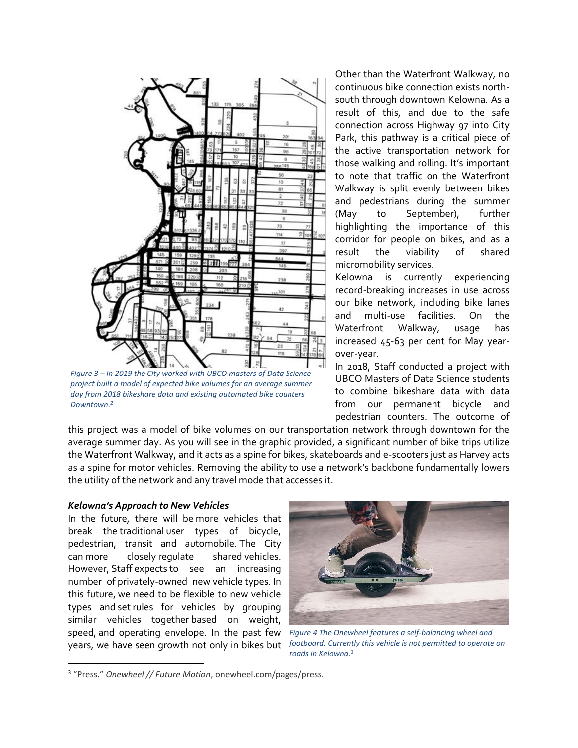

*Figure 3 – In 2019 the City worked with UBCO masters of Data Science project built a model of expected bike volumes for an average summer day from 2018 bikeshare data and existing automated bike counters Downtown.<sup>2</sup>*

Other than the Waterfront Walkway, no continuous bike connection exists northsouth through downtown Kelowna. As a result of this, and due to the safe connection across Highway 97 into City Park, this pathway is a critical piece of the active transportation network for those walking and rolling. It's important to note that traffic on the Waterfront Walkway is split evenly between bikes and pedestrians during the summer (May to September), further highlighting the importance of this corridor for people on bikes, and as a result the viability of shared micromobility services.

Kelowna is currently experiencing record-breaking increases in use across our bike network, including bike lanes and multi-use facilities. On the Waterfront Walkway, usage has increased 45-63 per cent for May yearover-year.

In 2018, Staff conducted a project with UBCO Masters of Data Science students to combine bikeshare data with data from our permanent bicycle and pedestrian counters. The outcome of

this project was a model of bike volumes on our transportation network through downtown for the average summer day. As you will see in the graphic provided, a significant number of bike trips utilize the Waterfront Walkway, and it acts as a spine for bikes, skateboards and e-scooters just as Harvey acts as a spine for motor vehicles. Removing the ability to use a network's backbone fundamentally lowers the utility of the network and any travel mode that accesses it.

#### *Kelowna's Approach to New Vehicles <sup>3</sup>*

 $\overline{\phantom{a}}$ 

In the future, there will be more vehicles that break the traditional user types of bicycle, pedestrian, transit and automobile. The City can more closely regulate shared vehicles. However, Staff expects to see an increasing number of privately-owned new vehicle types. In this future, we need to be flexible to new vehicle types and set rules for vehicles by grouping similar vehicles together based on weight, speed, and operating envelope. In the past few years, we have seen growth not only in bikes but



*Figure 4 The Onewheel features a self-balancing wheel and footboard. Currently this vehicle is not permitted to operate on roads in Kelowna.3*

<sup>3</sup> "Press." *Onewheel // Future Motion*, onewheel.com/pages/press.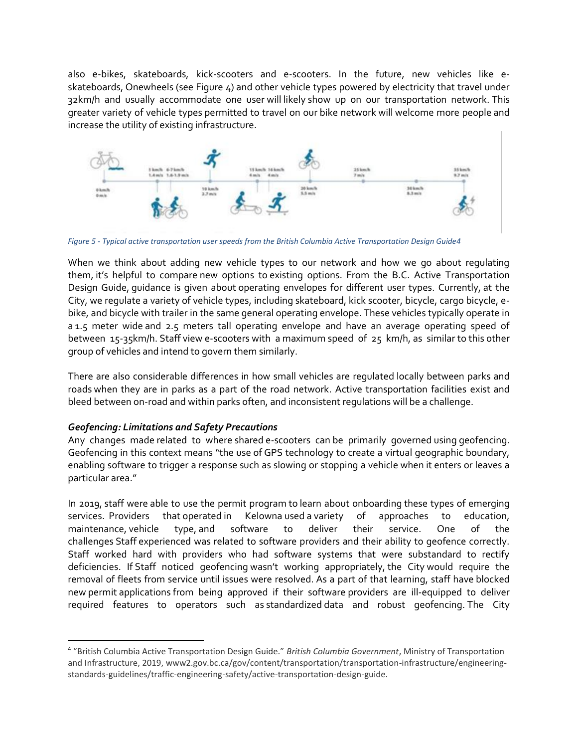also e-bikes, skateboards, kick-scooters and e-scooters. In the future, new vehicles like eskateboards, Onewheels (see Figure 4) and other vehicle types powered by electricity that travel under 32km/h and usually accommodate one user will likely show up on our transportation network. This greater variety of vehicle types permitted to travel on our bike network will welcome more people and increase the utility of existing infrastructure.



*Figure 5 - Typical active transportation user speeds from the British Columbia Active Transportation Design Guide4*

When we think about adding new vehicle types to our network and how we go about regulating them, it's helpful to compare new options to existing options. From the B.C. Active Transportation Design Guide, guidance is given about operating envelopes for different user types. Currently, at the City, we regulate a variety of vehicle types, including skateboard, kick scooter, bicycle, cargo bicycle, ebike, and bicycle with trailer in the same general operating envelope. These vehicles typically operate in a 1.5 meter wide and 2.5 meters tall operating envelope and have an average operating speed of between 15-35km/h. Staff view e-scooters with a maximum speed of 25 km/h, as similar to this other group of vehicles and intend to govern them similarly.

There are also considerable differences in how small vehicles are regulated locally between parks and roads when they are in parks as a part of the road network. Active transportation facilities exist and bleed between on-road and within parks often, and inconsistent regulations will be a challenge.

## *Geofencing: Limitations and Safety Precautions*

 $\overline{\phantom{a}}$ 

Any changes made related to where shared e-scooters can be primarily governed using geofencing. Geofencing in this context means "the use of GPS technology to create a virtual geographic boundary, enabling software to trigger a response such as slowing or stopping a vehicle when it enters or leaves a particular area."

In 2019, staff were able to use the permit program to learn about onboarding these types of emerging services. Providers that operated in Kelowna used a variety of approaches to education, maintenance, vehicle type, and software to deliver their service. One of the challenges Staff experienced was related to software providers and their ability to geofence correctly. Staff worked hard with providers who had software systems that were substandard to rectify deficiencies. If Staff noticed geofencing wasn't working appropriately, the City would require the removal of fleets from service until issues were resolved. As a part of that learning, staff have blocked new permit applications from being approved if their software providers are ill-equipped to deliver required features to operators such as standardized data and robust geofencing. The City

<sup>4</sup> "British Columbia Active Transportation Design Guide." *British Columbia Government*, Ministry of Transportation and Infrastructure, 2019, www2.gov.bc.ca/gov/content/transportation/transportation-infrastructure/engineeringstandards-guidelines/traffic-engineering-safety/active-transportation-design-guide.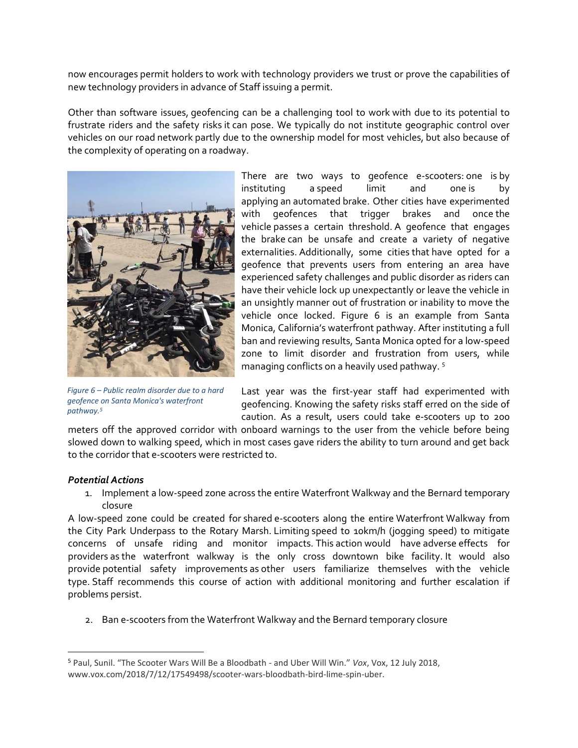now encourages permit holders to work with technology providers we trust or prove the capabilities of new technology providers in advance of Staff issuing a permit.

Other than software issues, geofencing can be a challenging tool to work with due to its potential to frustrate riders and the safety risks it can pose. We typically do not institute geographic control over vehicles on our road network partly due to the ownership model for most vehicles, but also because of the complexity of operating on a roadway.



*Figure 6 – Public realm disorder due to a hard geofence on Santa Monica's waterfront pathway.<sup>5</sup>*

There are two ways to geofence e-scooters: one is by instituting a speed limit and one is by applying an automated brake. Other cities have experimented with geofences that trigger brakes and once the vehicle passes a certain threshold. A geofence that engages the brake can be unsafe and create a variety of negative externalities. Additionally, some cities that have opted for a geofence that prevents users from entering an area have experienced safety challenges and public disorder as riders can have their vehicle lock up unexpectantly or leave the vehicle in an unsightly manner out of frustration or inability to move the vehicle once locked. Figure 6 is an example from Santa Monica, California's waterfront pathway. After instituting a full ban and reviewing results, Santa Monica opted for a low-speed zone to limit disorder and frustration from users, while managing conflicts on a heavily used pathway. <sup>5</sup>

Last year was the first-year staff had experimented with geofencing. Knowing the safety risks staff erred on the side of caution. As a result, users could take e-scooters up to 200

meters off the approved corridor with onboard warnings to the user from the vehicle before being slowed down to walking speed, which in most cases gave riders the ability to turn around and get back to the corridor that e-scooters were restricted to.

## *Potential Actions*

l

1. Implement a low-speed zone across the entire Waterfront Walkway and the Bernard temporary closure

A low-speed zone could be created for shared e-scooters along the entire Waterfront Walkway from the City Park Underpass to the Rotary Marsh. Limiting speed to 10km/h (jogging speed) to mitigate concerns of unsafe riding and monitor impacts. This action would have adverse effects for providers as the waterfront walkway is the only cross downtown bike facility. It would also provide potential safety improvements as other users familiarize themselves with the vehicle type. Staff recommends this course of action with additional monitoring and further escalation if problems persist.

2. Ban e-scooters from the Waterfront Walkway and the Bernard temporary closure

<sup>5</sup> Paul, Sunil. "The Scooter Wars Will Be a Bloodbath - and Uber Will Win." *Vox*, Vox, 12 July 2018, www.vox.com/2018/7/12/17549498/scooter-wars-bloodbath-bird-lime-spin-uber.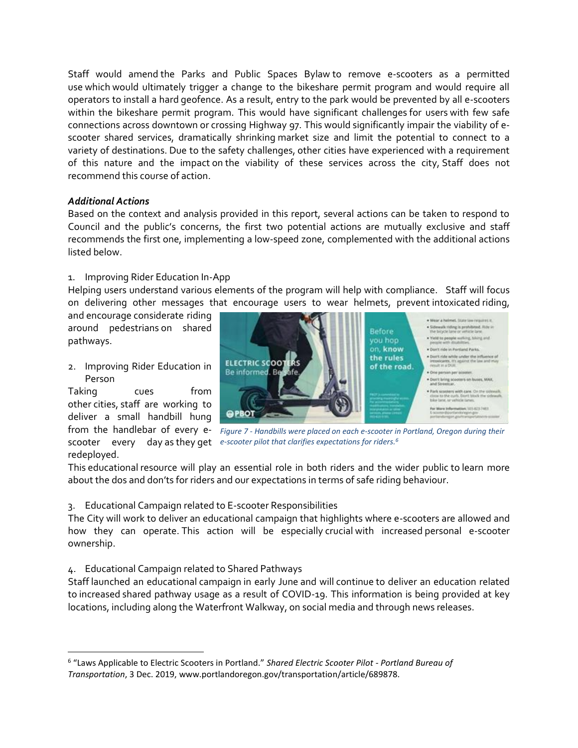Staff would amend the Parks and Public Spaces Bylaw to remove e-scooters as a permitted use which would ultimately trigger a change to the bikeshare permit program and would require all operators to install a hard geofence. As a result, entry to the park would be prevented by all e-scooters within the bikeshare permit program. This would have significant challenges for users with few safe connections across downtown or crossing Highway 97. This would significantly impair the viability of escooter shared services, dramatically shrinking market size and limit the potential to connect to a variety of destinations. Due to the safety challenges, other cities have experienced with a requirement of this nature and the impact on the viability of these services across the city, Staff does not recommend this course of action.

## *Additional Actions*

Based on the context and analysis provided in this report, several actions can be taken to respond to Council and the public's concerns, the first two potential actions are mutually exclusive and staff recommends the first one, implementing a low-speed zone, complemented with the additional actions listed below.

# 1. Improving Rider Education In-App <sup>6</sup>

Helping users understand various elements of the program will help with compliance. Staff will focus on delivering other messages that encourage users to wear helmets, prevent intoxicated riding,

and encourage considerate riding around pedestrians on shared pathways.

2. Improving Rider Education in Person

Taking cues from other cities, staff are working to deliver a small handbill hung redeployed.

l



from the handlebar of every e- Figure 7 - Handbills were placed on each e-scooter in Portland, Oregon during their scooter every day as they get e-scooter pilot that clarifies expectations for riders.<sup>6</sup>

This educational resource will play an essential role in both riders and the wider public to learn more about the dos and don'ts for riders and our expectations in terms of safe riding behaviour.

3. Educational Campaign related to E-scooter Responsibilities

The City will work to deliver an educational campaign that highlights where e-scooters are allowed and how they can operate. This action will be especially crucial with increased personal e-scooter ownership.

4. Educational Campaign related to Shared Pathways

Staff launched an educational campaign in early June and will continue to deliver an education related to increased shared pathway usage as a result of COVID-19. This information is being provided at key locations, including along the Waterfront Walkway, on social media and through news releases.

<sup>6</sup> "Laws Applicable to Electric Scooters in Portland." *Shared Electric Scooter Pilot - Portland Bureau of Transportation*, 3 Dec. 2019, www.portlandoregon.gov/transportation/article/689878.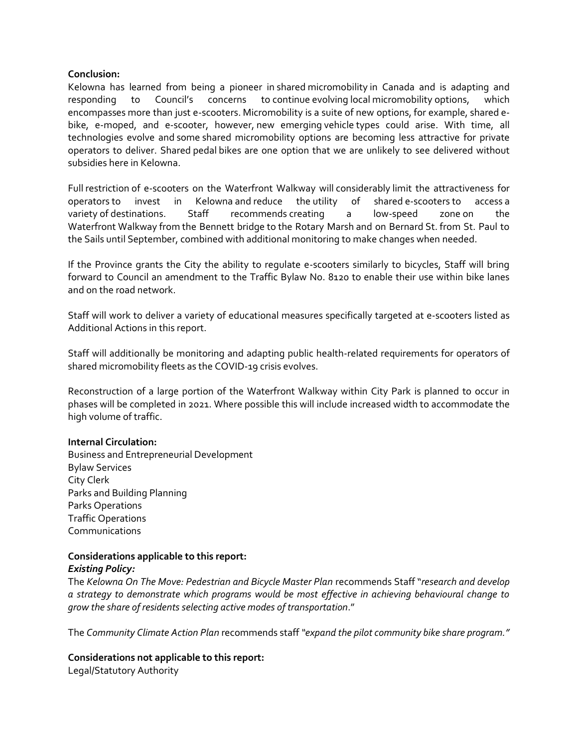#### **Conclusion:**

Kelowna has learned from being a pioneer in shared micromobility in Canada and is adapting and responding to Council's concerns to continue evolving local micromobility options, which encompasses more than just e-scooters. Micromobility is a suite of new options, for example, shared ebike, e-moped, and e-scooter, however, new emerging vehicle types could arise. With time, all technologies evolve and some shared micromobility options are becoming less attractive for private operators to deliver. Shared pedal bikes are one option that we are unlikely to see delivered without subsidies here in Kelowna.

Full restriction of e-scooters on the Waterfront Walkway will considerably limit the attractiveness for operators to invest in Kelowna and reduce the utility of shared e-scooters to access a variety of destinations. Staff recommends creating a low-speed zone on the Waterfront Walkway from the Bennett bridge to the Rotary Marsh and on Bernard St. from St. Paul to the Sails until September, combined with additional monitoring to make changes when needed.

If the Province grants the City the ability to regulate e-scooters similarly to bicycles, Staff will bring forward to Council an amendment to the Traffic Bylaw No. 8120 to enable their use within bike lanes and on the road network.

Staff will work to deliver a variety of educational measures specifically targeted at e-scooters listed as Additional Actions in this report.

Staff will additionally be monitoring and adapting public health-related requirements for operators of shared micromobility fleets as the COVID-19 crisis evolves.

Reconstruction of a large portion of the Waterfront Walkway within City Park is planned to occur in phases will be completed in 2021. Where possible this will include increased width to accommodate the high volume of traffic.

## **Internal Circulation:**

Business and Entrepreneurial Development Bylaw Services City Clerk Parks and Building Planning Parks Operations Traffic Operations Communications

# **Considerations applicable to this report:**

## *Existing Policy:*

The *Kelowna On The Move: Pedestrian and Bicycle Master Plan* recommends Staff "*research and develop a strategy to demonstrate which programs would be most effective in achieving behavioural change to grow the share of residents selecting active modes of transportation*."

The *Community Climate Action Plan* recommends staff *"expand the pilot community bike share program."*

**Considerations not applicable to this report:**

Legal/Statutory Authority